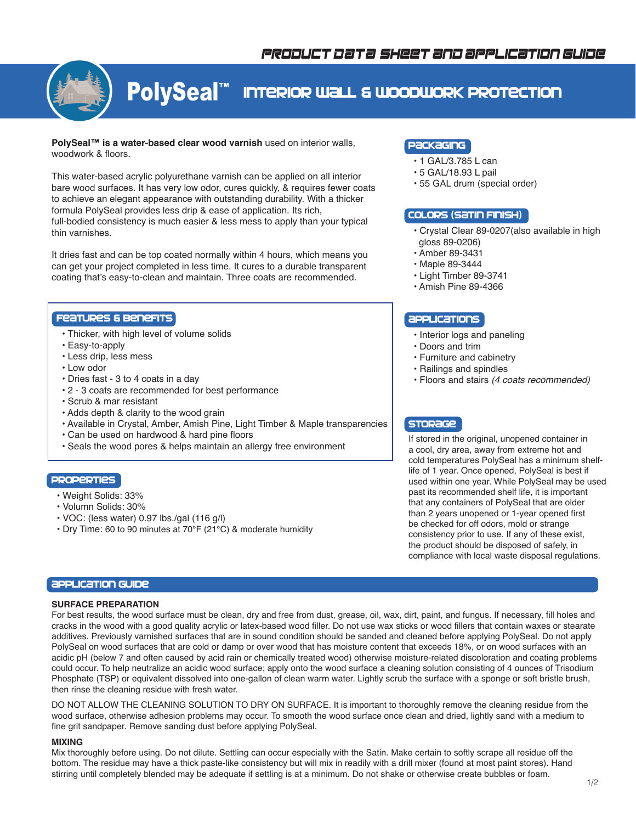

# PolySeal™ Interior Wall & Woodwork Protection

**PolySeal™ is a water-based clear wood varnish** used on interior walls, woodwork & floors.

This water-based acrylic polyurethane varnish can be applied on all interior bare wood surfaces. It has very low odor, cures quickly, & requires fewer coats to achieve an elegant appearance with outstanding durability. With a thicker formula PolySeal provides less drip & ease of application. Its rich, full-bodied consistency is much easier & less mess to apply than your typical thin varnishes.

It dries fast and can be top coated normally within 4 hours, which means you can get your project completed in less time. It cures to a durable transparent coating that's easy-to-clean and maintain. Three coats are recommended.

## Features & Benefits

- Thicker, with high level of volume solids
- Easy-to-apply
- Less drip, less mess
- Low odor
- Dries fast 3 to 4 coats in a day
- 2 3 coats are recommended for best performance
- Scrub & mar resistant
- Adds depth & clarity to the wood grain
- Available in Crystal, Amber, Amish Pine, Light Timber & Maple transparencies
- Can be used on hardwood & hard pine floors
- Seals the wood pores & helps maintain an allergy free environment

## **PROPERTIES**

- Weight Solids: 33%
- Volumn Solids: 30%
- VOC: (less water) 0.97 lbs./gal (116 g/l)
- Dry Time: 60 to 90 minutes at 70°F (21°C) & moderate humidity

# Packaging

- 1 GAL/3.785 L can
- 5 GAL/18.93 L pail
- 55 GAL drum (special order)

## Colors (satin finish)

- Crystal Clear 89-0207(also available in high gloss 89-0206)
- Amber 89-3431
- Maple 89-3444
- Light Timber 89-3741
- Amish Pine 89-4366

# **APPLICATIONS**

- Interior logs and paneling
- Doors and trim
- Furniture and cabinetry
- Railings and spindles
- Floors and stairs *(4 coats recommended)*

# **STORAGE**

If stored in the original, unopened container in a cool, dry area, away from extreme hot and cold temperatures PolySeal has a minimum shelflife of 1 year. Once opened, PolySeal is best if used within one year. While PolySeal may be used past its recommended shelf life, it is important that any containers of PolySeal that are older than 2 years unopened or 1-year opened first be checked for off odors, mold or strange consistency prior to use. If any of these exist, the product should be disposed of safely, in compliance with local waste disposal regulations.

# **application Guide**

## **SURFACE PREPARATION**

For best results, the wood surface must be clean, dry and free from dust, grease, oil, wax, dirt, paint, and fungus. If necessary, fill holes and cracks in the wood with a good quality acrylic or latex-based wood filler. Do not use wax sticks or wood fillers that contain waxes or stearate additives. Previously varnished surfaces that are in sound condition should be sanded and cleaned before applying PolySeal. Do not apply PolySeal on wood surfaces that are cold or damp or over wood that has moisture content that exceeds 18%, or on wood surfaces with an acidic pH (below 7 and often caused by acid rain or chemically treated wood) otherwise moisture-related discoloration and coating problems could occur. To help neutralize an acidic wood surface; apply onto the wood surface a cleaning solution consisting of 4 ounces of Trisodium Phosphate (TSP) or equivalent dissolved into one-gallon of clean warm water. Lightly scrub the surface with a sponge or soft bristle brush, then rinse the cleaning residue with fresh water.

DO NOT ALLOW THE CLEANING SOLUTION TO DRY ON SURFACE. It is important to thoroughly remove the cleaning residue from the wood surface, otherwise adhesion problems may occur. To smooth the wood surface once clean and dried, lightly sand with a medium to fine grit sandpaper. Remove sanding dust before applying PolySeal.

#### **MIXING**

Mix thoroughly before using. Do not dilute. Settling can occur especially with the Satin. Make certain to softly scrape all residue off the bottom. The residue may have a thick paste-like consistency but will mix in readily with a drill mixer (found at most paint stores). Hand stirring until completely blended may be adequate if settling is at a minimum. Do not shake or otherwise create bubbles or foam.